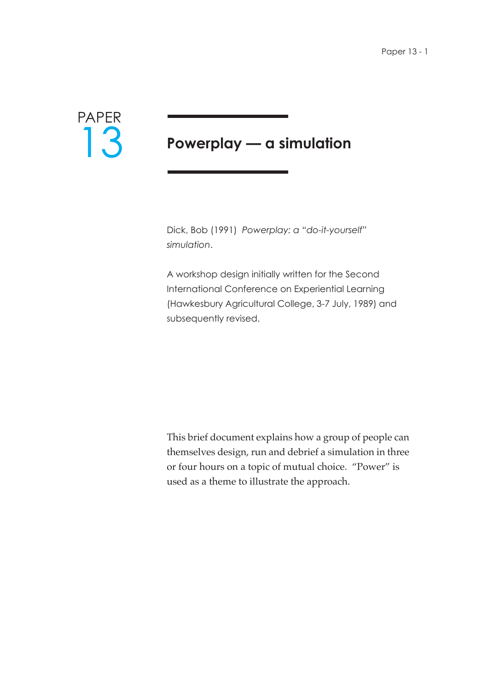

# **Powerplay — a simulation**

Dick, Bob (1991) *Powerplay: a "do-it-yourself" simulation*.

A workshop design initially written for the Second International Conference on Experiential Learning (Hawkesbury Agricultural College, 3-7 July, 1989) and subsequently revised.

This brief document explains how a group of people can themselves design, run and debrief a simulation in three or four hours on a topic of mutual choice. "Power" is used as a theme to illustrate the approach.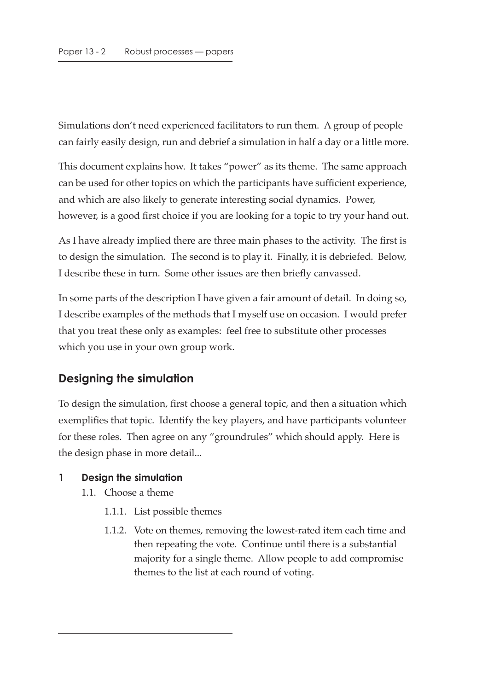Simulations don't need experienced facilitators to run them. A group of people can fairly easily design, run and debrief a simulation in half a day or a little more.

This document explains how. It takes "power" as its theme. The same approach can be used for other topics on which the participants have sufficient experience, and which are also likely to generate interesting social dynamics. Power, however, is a good first choice if you are looking for a topic to try your hand out.

As I have already implied there are three main phases to the activity. The first is to design the simulation. The second is to play it. Finally, it is debriefed. Below, I describe these in turn. Some other issues are then briefly canvassed.

In some parts of the description I have given a fair amount of detail. In doing so, I describe examples of the methods that I myself use on occasion. I would prefer that you treat these only as examples: feel free to substitute other processes which you use in your own group work.

# **Designing the simulation**

To design the simulation, first choose a general topic, and then a situation which exemplifies that topic. Identify the key players, and have participants volunteer for these roles. Then agree on any "groundrules" which should apply. Here is the design phase in more detail...

#### **1 Design the simulation**

- 1.1. Choose a theme
	- 1.1.1. List possible themes
	- 1.1.2. Vote on themes, removing the lowest-rated item each time and then repeating the vote. Continue until there is a substantial majority for a single theme. Allow people to add compromise themes to the list at each round of voting.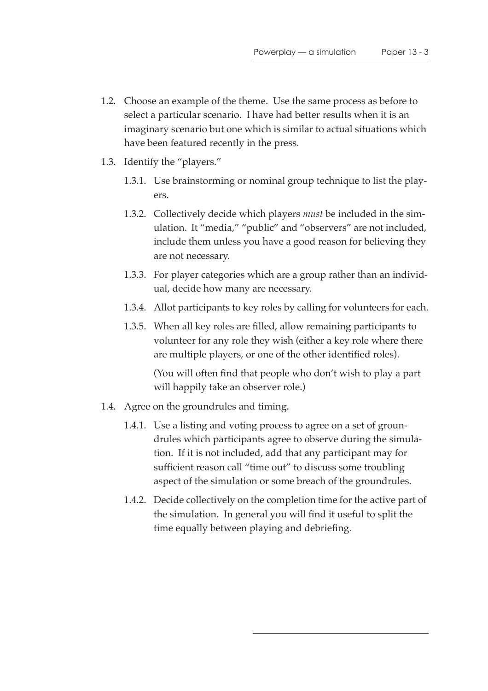- 1.2. Choose an example of the theme. Use the same process as before to select a particular scenario. I have had better results when it is an imaginary scenario but one which is similar to actual situations which have been featured recently in the press.
- 1.3. Identify the "players."
	- 1.3.1. Use brainstorming or nominal group technique to list the players.
	- 1.3.2. Collectively decide which players *must* be included in the simulation. It "media," "public" and "observers" are not included, include them unless you have a good reason for believing they are not necessary.
	- 1.3.3. For player categories which are a group rather than an individual, decide how many are necessary.
	- 1.3.4. Allot participants to key roles by calling for volunteers for each.
	- 1.3.5. When all key roles are filled, allow remaining participants to volunteer for any role they wish (either a key role where there are multiple players, or one of the other identified roles).

(You will often find that people who don't wish to play a part will happily take an observer role.)

- 1.4. Agree on the groundrules and timing.
	- 1.4.1. Use a listing and voting process to agree on a set of groundrules which participants agree to observe during the simulation. If it is not included, add that any participant may for sufficient reason call "time out" to discuss some troubling aspect of the simulation or some breach of the groundrules.
	- 1.4.2. Decide collectively on the completion time for the active part of the simulation. In general you will find it useful to split the time equally between playing and debriefing.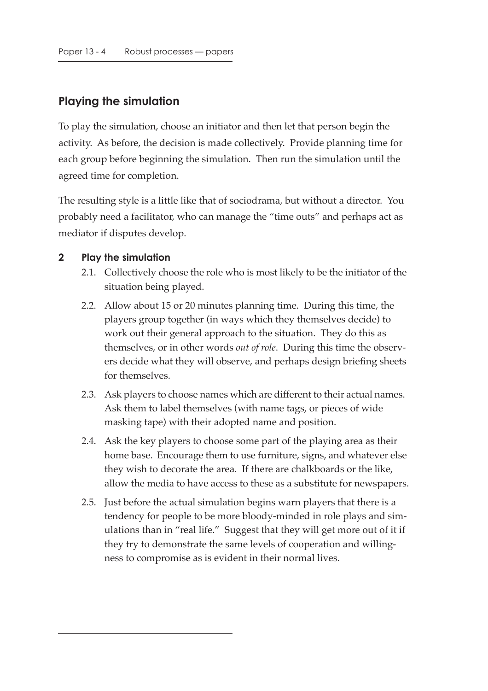# **Playing the simulation**

To play the simulation, choose an initiator and then let that person begin the activity. As before, the decision is made collectively. Provide planning time for each group before beginning the simulation. Then run the simulation until the agreed time for completion.

The resulting style is a little like that of sociodrama, but without a director. You probably need a facilitator, who can manage the "time outs" and perhaps act as mediator if disputes develop.

#### **2 Play the simulation**

- 2.1. Collectively choose the role who is most likely to be the initiator of the situation being played.
- 2.2. Allow about 15 or 20 minutes planning time. During this time, the players group together (in ways which they themselves decide) to work out their general approach to the situation. They do this as themselves, or in other words *out of role*. During this time the observers decide what they will observe, and perhaps design briefing sheets for themselves.
- 2.3. Ask players to choose names which are different to their actual names. Ask them to label themselves (with name tags, or pieces of wide masking tape) with their adopted name and position.
- 2.4. Ask the key players to choose some part of the playing area as their home base. Encourage them to use furniture, signs, and whatever else they wish to decorate the area. If there are chalkboards or the like, allow the media to have access to these as a substitute for newspapers.
- 2.5. Just before the actual simulation begins warn players that there is a tendency for people to be more bloody-minded in role plays and simulations than in "real life." Suggest that they will get more out of it if they try to demonstrate the same levels of cooperation and willingness to compromise as is evident in their normal lives.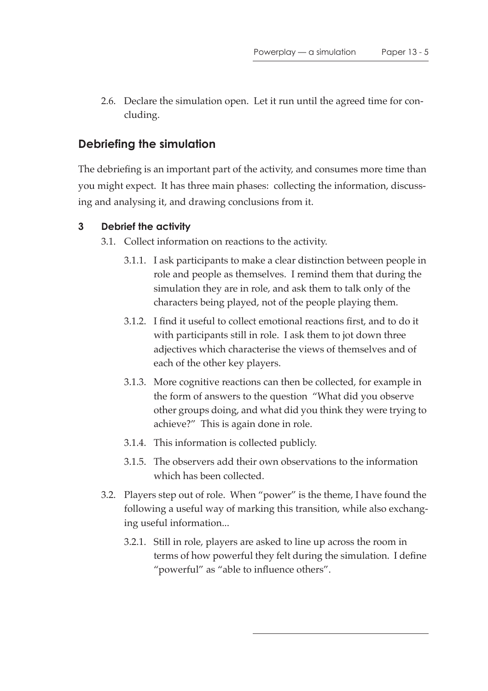2.6. Declare the simulation open. Let it run until the agreed time for concluding.

# **Debriefing the simulation**

The debriefing is an important part of the activity, and consumes more time than you might expect. It has three main phases: collecting the information, discussing and analysing it, and drawing conclusions from it.

## **3 Debrief the activity**

- 3.1. Collect information on reactions to the activity.
	- 3.1.1. I ask participants to make a clear distinction between people in role and people as themselves. I remind them that during the simulation they are in role, and ask them to talk only of the characters being played, not of the people playing them.
	- 3.1.2. I find it useful to collect emotional reactions first, and to do it with participants still in role. I ask them to jot down three adjectives which characterise the views of themselves and of each of the other key players.
	- 3.1.3. More cognitive reactions can then be collected, for example in the form of answers to the question "What did you observe other groups doing, and what did you think they were trying to achieve?" This is again done in role.
	- 3.1.4. This information is collected publicly.
	- 3.1.5. The observers add their own observations to the information which has been collected.
- 3.2. Players step out of role. When "power" is the theme, I have found the following a useful way of marking this transition, while also exchanging useful information...
	- 3.2.1. Still in role, players are asked to line up across the room in terms of how powerful they felt during the simulation. I define "powerful" as "able to influence others".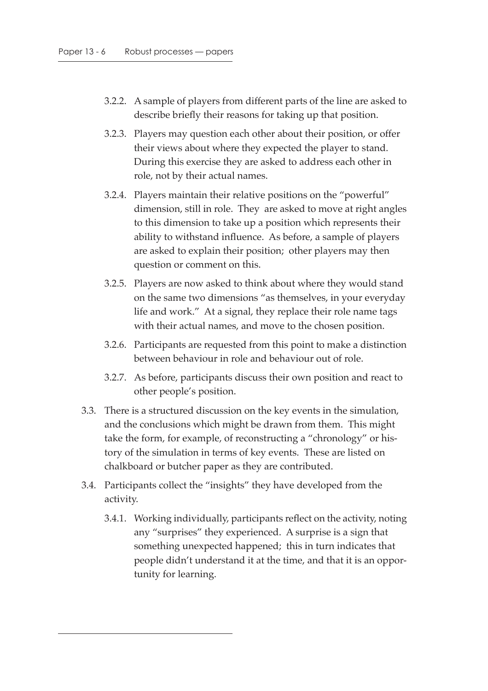- 3.2.2. A sample of players from different parts of the line are asked to describe briefly their reasons for taking up that position.
- 3.2.3. Players may question each other about their position, or offer their views about where they expected the player to stand. During this exercise they are asked to address each other in role, not by their actual names.
- 3.2.4. Players maintain their relative positions on the "powerful" dimension, still in role. They are asked to move at right angles to this dimension to take up a position which represents their ability to withstand influence. As before, a sample of players are asked to explain their position; other players may then question or comment on this.
- 3.2.5. Players are now asked to think about where they would stand on the same two dimensions "as themselves, in your everyday life and work." At a signal, they replace their role name tags with their actual names, and move to the chosen position.
- 3.2.6. Participants are requested from this point to make a distinction between behaviour in role and behaviour out of role.
- 3.2.7. As before, participants discuss their own position and react to other people's position.
- 3.3. There is a structured discussion on the key events in the simulation, and the conclusions which might be drawn from them. This might take the form, for example, of reconstructing a "chronology" or history of the simulation in terms of key events. These are listed on chalkboard or butcher paper as they are contributed.
- 3.4. Participants collect the "insights" they have developed from the activity.
	- 3.4.1. Working individually, participants reflect on the activity, noting any "surprises" they experienced. A surprise is a sign that something unexpected happened; this in turn indicates that people didn't understand it at the time, and that it is an opportunity for learning.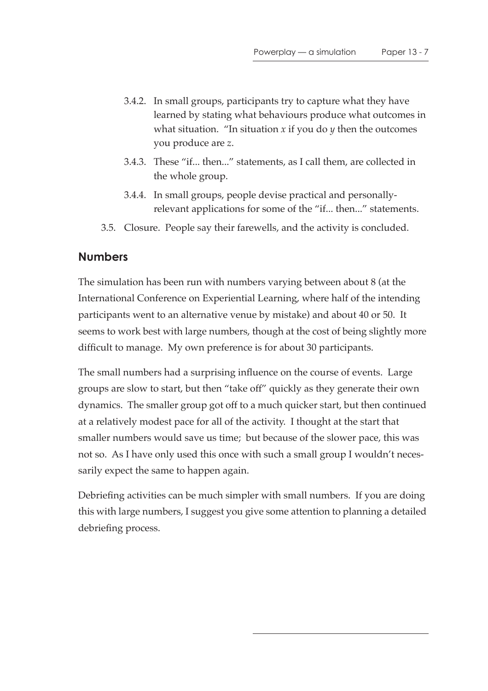- 3.4.2. In small groups, participants try to capture what they have learned by stating what behaviours produce what outcomes in what situation. "In situation *x* if you do *y* then the outcomes you produce are *z*.
- 3.4.3. These "if... then..." statements, as I call them, are collected in the whole group.
- 3.4.4. In small groups, people devise practical and personallyrelevant applications for some of the "if... then..." statements.
- 3.5. Closure. People say their farewells, and the activity is concluded.

## **Numbers**

The simulation has been run with numbers varying between about 8 (at the International Conference on Experiential Learning, where half of the intending participants went to an alternative venue by mistake) and about 40 or 50. It seems to work best with large numbers, though at the cost of being slightly more difficult to manage. My own preference is for about 30 participants.

The small numbers had a surprising influence on the course of events. Large groups are slow to start, but then "take off" quickly as they generate their own dynamics. The smaller group got off to a much quicker start, but then continued at a relatively modest pace for all of the activity. I thought at the start that smaller numbers would save us time; but because of the slower pace, this was not so. As I have only used this once with such a small group I wouldn't necessarily expect the same to happen again.

Debriefing activities can be much simpler with small numbers. If you are doing this with large numbers, I suggest you give some attention to planning a detailed debriefing process.